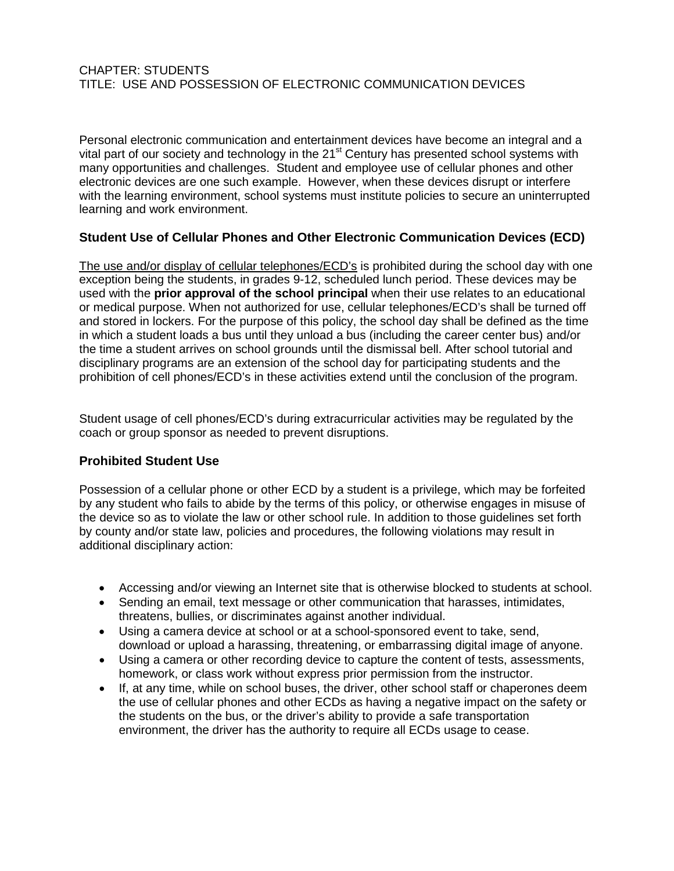### CHAPTER: STUDENTS TITLE: USE AND POSSESSION OF ELECTRONIC COMMUNICATION DEVICES

Personal electronic communication and entertainment devices have become an integral and a vital part of our society and technology in the 21<sup>st</sup> Century has presented school systems with many opportunities and challenges. Student and employee use of cellular phones and other electronic devices are one such example. However, when these devices disrupt or interfere with the learning environment, school systems must institute policies to secure an uninterrupted learning and work environment.

### **Student Use of Cellular Phones and Other Electronic Communication Devices (ECD)**

The use and/or display of cellular telephones/ECD's is prohibited during the school day with one exception being the students, in grades 9-12, scheduled lunch period. These devices may be used with the **prior approval of the school principal** when their use relates to an educational or medical purpose. When not authorized for use, cellular telephones/ECD's shall be turned off and stored in lockers. For the purpose of this policy, the school day shall be defined as the time in which a student loads a bus until they unload a bus (including the career center bus) and/or the time a student arrives on school grounds until the dismissal bell. After school tutorial and disciplinary programs are an extension of the school day for participating students and the prohibition of cell phones/ECD's in these activities extend until the conclusion of the program.

Student usage of cell phones/ECD's during extracurricular activities may be regulated by the coach or group sponsor as needed to prevent disruptions.

### **Prohibited Student Use**

Possession of a cellular phone or other ECD by a student is a privilege, which may be forfeited by any student who fails to abide by the terms of this policy, or otherwise engages in misuse of the device so as to violate the law or other school rule. In addition to those guidelines set forth by county and/or state law, policies and procedures, the following violations may result in additional disciplinary action:

- Accessing and/or viewing an Internet site that is otherwise blocked to students at school.
- Sending an email, text message or other communication that harasses, intimidates, threatens, bullies, or discriminates against another individual.
- Using a camera device at school or at a school-sponsored event to take, send, download or upload a harassing, threatening, or embarrassing digital image of anyone.
- Using a camera or other recording device to capture the content of tests, assessments, homework, or class work without express prior permission from the instructor.
- If, at any time, while on school buses, the driver, other school staff or chaperones deem the use of cellular phones and other ECDs as having a negative impact on the safety or the students on the bus, or the driver's ability to provide a safe transportation environment, the driver has the authority to require all ECDs usage to cease.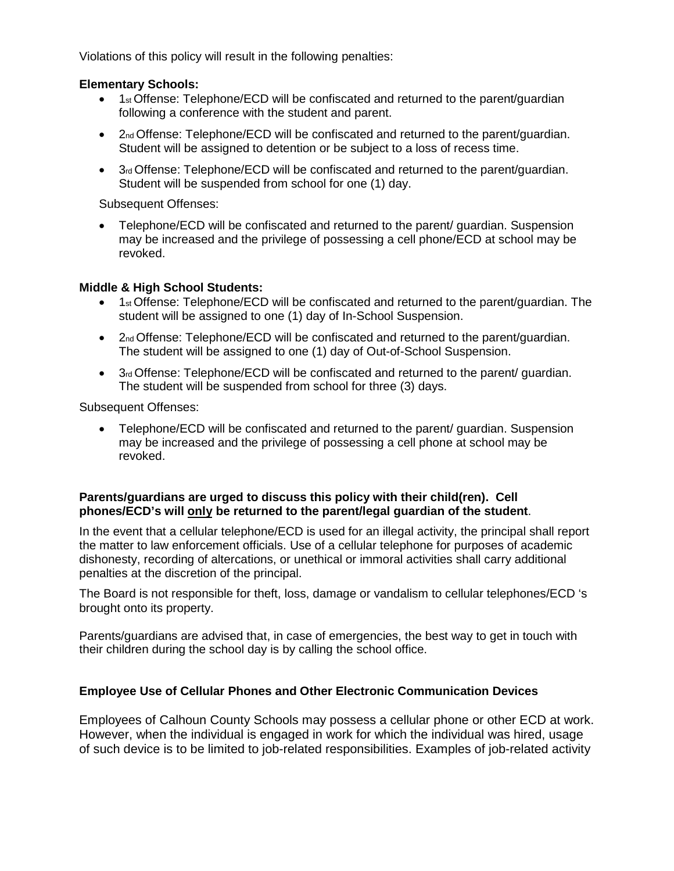Violations of this policy will result in the following penalties:

## **Elementary Schools:**

- $\bullet$  1<sub>st</sub> Offense: Telephone/ECD will be confiscated and returned to the parent/quardian following a conference with the student and parent.
- 2<sub>nd</sub> Offense: Telephone/ECD will be confiscated and returned to the parent/quardian. Student will be assigned to detention or be subject to a loss of recess time.
- $\bullet$  3rd Offense: Telephone/ECD will be confiscated and returned to the parent/guardian. Student will be suspended from school for one (1) day.

Subsequent Offenses:

• Telephone/ECD will be confiscated and returned to the parent/ quardian. Suspension may be increased and the privilege of possessing a cell phone/ECD at school may be revoked.

# **Middle & High School Students:**

- 1st Offense: Telephone/ECD will be confiscated and returned to the parent/guardian. The student will be assigned to one (1) day of In-School Suspension.
- 2nd Offense: Telephone/ECD will be confiscated and returned to the parent/guardian. The student will be assigned to one (1) day of Out-of-School Suspension.
- 3rd Offense: Telephone/ECD will be confiscated and returned to the parent/ quardian. The student will be suspended from school for three (3) days.

Subsequent Offenses:

• Telephone/ECD will be confiscated and returned to the parent/ guardian. Suspension may be increased and the privilege of possessing a cell phone at school may be revoked.

## **Parents/guardians are urged to discuss this policy with their child(ren). Cell phones/ECD's will only be returned to the parent/legal guardian of the student**.

In the event that a cellular telephone/ECD is used for an illegal activity, the principal shall report the matter to law enforcement officials. Use of a cellular telephone for purposes of academic dishonesty, recording of altercations, or unethical or immoral activities shall carry additional penalties at the discretion of the principal.

The Board is not responsible for theft, loss, damage or vandalism to cellular telephones/ECD 's brought onto its property.

Parents/guardians are advised that, in case of emergencies, the best way to get in touch with their children during the school day is by calling the school office.

### **Employee Use of Cellular Phones and Other Electronic Communication Devices**

Employees of Calhoun County Schools may possess a cellular phone or other ECD at work. However, when the individual is engaged in work for which the individual was hired, usage of such device is to be limited to job-related responsibilities. Examples of job-related activity